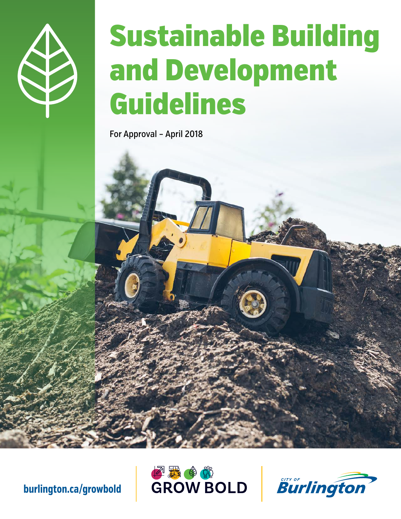

# Sustainable Building and Development Guidelines

For Approval – April 2018





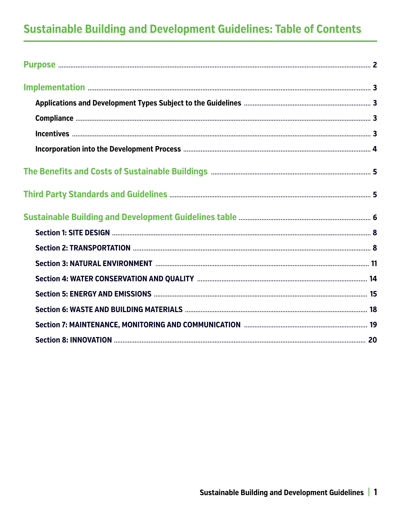# **Sustainable Building and Development Guidelines: Table of Contents**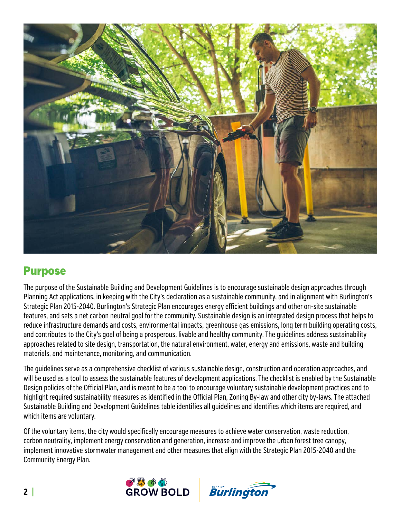

## Purpose

The purpose of the Sustainable Building and Development Guidelines is to encourage sustainable design approaches through Planning Act applications, in keeping with the City's declaration as a sustainable community, and in alignment with Burlington's Strategic Plan 2015-2040. Burlington's Strategic Plan encourages energy efficient buildings and other on-site sustainable features, and sets a net carbon neutral goal for the community. Sustainable design is an integrated design process that helps to reduce infrastructure demands and costs, environmental impacts, greenhouse gas emissions, long term building operating costs, and contributes to the City's goal of being a prosperous, livable and healthy community. The guidelines address sustainability approaches related to site design, transportation, the natural environment, water, energy and emissions, waste and building materials, and maintenance, monitoring, and communication.

The guidelines serve as a comprehensive checklist of various sustainable design, construction and operation approaches, and will be used as a tool to assess the sustainable features of development applications. The checklist is enabled by the Sustainable Design policies of the Official Plan, and is meant to be a tool to encourage voluntary sustainable development practices and to highlight required sustainability measures as identified in the Official Plan, Zoning By-law and other city by-laws. The attached Sustainable Building and Development Guidelines table identifies all guidelines and identifies which items are required, and which items are voluntary.

Of the voluntary items, the city would specifically encourage measures to achieve water conservation, waste reduction, carbon neutrality, implement energy conservation and generation, increase and improve the urban forest tree canopy, implement innovative stormwater management and other measures that align with the Strategic Plan 2015-2040 and the Community Energy Plan.



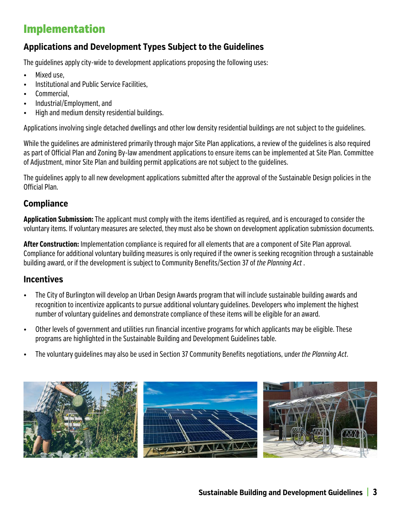## Implementation

#### **Applications and Development Types Subject to the Guidelines**

The guidelines apply city-wide to development applications proposing the following uses:

- Mixed use,
- Institutional and Public Service Facilities,
- Commercial,
- Industrial/Employment, and
- High and medium density residential buildings.

Applications involving single detached dwellings and other low density residential buildings are not subject to the guidelines.

While the guidelines are administered primarily through major Site Plan applications, a review of the guidelines is also required as part of Official Plan and Zoning By-law amendment applications to ensure items can be implemented at Site Plan. Committee of Adjustment, minor Site Plan and building permit applications are not subject to the guidelines.

The guidelines apply to all new development applications submitted after the approval of the Sustainable Design policies in the Official Plan.

#### **Compliance**

**Application Submission:** The applicant must comply with the items identified as required, and is encouraged to consider the voluntary items. If voluntary measures are selected, they must also be shown on development application submission documents.

**After Construction:** Implementation compliance is required for all elements that are a component of Site Plan approval. Compliance for additional voluntary building measures is only required if the owner is seeking recognition through a sustainable building award, or if the development is subject to Community Benefits/Section 37 of *the Planning Act* .

#### **Incentives**

- The City of Burlington will develop an Urban Design Awards program that will include sustainable building awards and recognition to incentivize applicants to pursue additional voluntary guidelines. Developers who implement the highest number of voluntary guidelines and demonstrate compliance of these items will be eligible for an award.
- Other levels of government and utilities run financial incentive programs for which applicants may be eligible. These programs are highlighted in the Sustainable Building and Development Guidelines table.
- The voluntary guidelines may also be used in Section 37 Community Benefits negotiations, under *the Planning Act*.

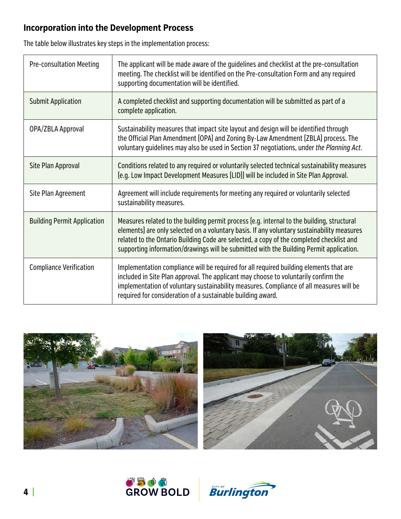### **Incorporation into the Development Process**

The table below illustrates key steps in the implementation process:

| <b>Pre-consultation Meeting</b>    | The applicant will be made aware of the quidelines and checklist at the pre-consultation<br>meeting. The checklist will be identified on the Pre-consultation Form and any required<br>supporting documentation will be identified.                                                                                                                                             |
|------------------------------------|---------------------------------------------------------------------------------------------------------------------------------------------------------------------------------------------------------------------------------------------------------------------------------------------------------------------------------------------------------------------------------|
| <b>Submit Application</b>          | A completed checklist and supporting documentation will be submitted as part of a<br>complete application.                                                                                                                                                                                                                                                                      |
| OPA/ZBLA Approval                  | Sustainability measures that impact site layout and design will be identified through<br>the Official Plan Amendment (OPA) and Zoning By-Law Amendment (ZBLA) process. The<br>voluntary quidelines may also be used in Section 37 negotiations, under the Planning Act.                                                                                                         |
| Site Plan Approval                 | Conditions related to any required or voluntarily selected technical sustainability measures<br>[e.g. Low Impact Development Measures [LID]] will be included in Site Plan Approval.                                                                                                                                                                                            |
| Site Plan Agreement                | Agreement will include requirements for meeting any required or voluntarily selected<br>sustainability measures.                                                                                                                                                                                                                                                                |
| <b>Building Permit Application</b> | Measures related to the building permit process (e.g. internal to the building, structural<br>elements) are only selected on a voluntary basis. If any voluntary sustainability measures<br>related to the Ontario Building Code are selected, a copy of the completed checklist and<br>supporting information/drawings will be submitted with the Building Permit application. |
| <b>Compliance Verification</b>     | Implementation compliance will be required for all required building elements that are<br>included in Site Plan approval. The applicant may choose to voluntarily confirm the<br>implementation of voluntary sustainability measures. Compliance of all measures will be<br>required for consideration of a sustainable building award.                                         |







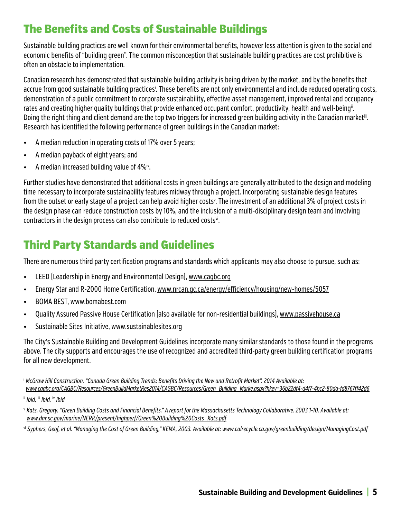## The Benefits and Costs of Sustainable Buildings

Sustainable building practices are well known for their environmental benefits, however less attention is given to the social and economic benefits of "building green". The common misconception that sustainable building practices are cost prohibitive is often an obstacle to implementation.

Canadian research has demonstrated that sustainable building activity is being driven by the market, and by the benefits that accrue from good sustainable building practices<sup>i</sup>. These benefits are not only environmental and include reduced operating costs, demonstration of a public commitment to corporate sustainability, effective asset management, improved rental and occupancy rates and creating higher quality buildings that provide enhanced occupant comfort, productivity, health and well-being". Doing the right thing and client demand are the top two triggers for increased green building activity in the Canadian market<sup>iii</sup>. Research has identified the following performance of green buildings in the Canadian market:

- A median reduction in operating costs of 17% over 5 years;
- A median payback of eight years; and
- A median increased building value of 4%iv.

Further studies have demonstrated that additional costs in green buildings are generally attributed to the design and modeling time necessary to incorporate sustainability features midway through a project. Incorporating sustainable design features from the outset or early stage of a project can help avoid higher costs<sup>v</sup>. The investment of an additional 3% of project costs in the design phase can reduce construction costs by 10%, and the inclusion of a multi-disciplinary design team and involving contractors in the design process can also contribute to reduced costs<sup>vi</sup>.

## Third Party Standards and Guidelines

There are numerous third party certification programs and standards which applicants may also choose to pursue, such as:

- LEED (Leadership in Energy and Environmental Design), www.cagbc.org
- Energy Star and R-2000 Home Certification, www.nrcan.gc.ca/energy/efficiency/housing/new-homes/5057
- BOMA BEST, www.bomabest.com
- Quality Assured Passive House Certification (also available for non-residential buildings), www.passivehouse.ca
- Sustainable Sites Initiative, www.sustainablesites.org

The City's Sustainable Building and Development Guidelines incorporate many similar standards to those found in the programs above. The city supports and encourages the use of recognized and accredited third-party green building certification programs for all new development.

<sup>i</sup>*McGraw Hill Construction. "Canada Green Building Trends: Benefits Driving the New and Retrofit Market". 2014 Available at: www.cagbc.org/CAGBC/Resources/GreenBuildMarketRes2014/CAGBC/Resources/Green\_Building\_Marke.aspx?hkey=36b22df4-d4f7-4bc2-80da-fd8767ff42d6*

vi *Syphers, Geof, et al. "Managing the Cost of Green Building," KEMA, 2003. Available at: www.calrecycle.ca.gov/greenbuilding/design/ManagingCost.pdf*

ii *Ibid,* iii *Ibid,* iv *Ibid*

<sup>v</sup>*Kats, Gregory. "Green Building Costs and Financial Benefits." A report for the Massachusetts Technology Collaborative. 2003 1-10. Available at: www.dnr.sc.gov/marine/NERR/present/highperf/Green%20Building%20Costs\_Kats.pdf*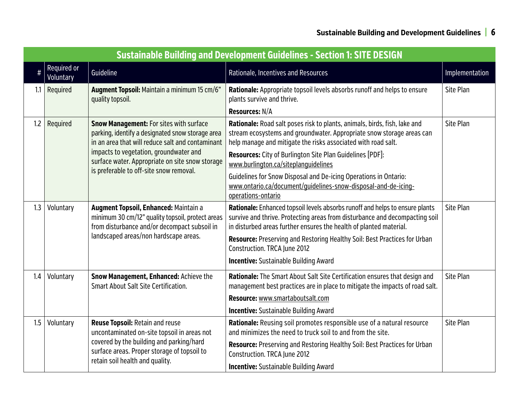|          | <b>Sustainable Building and Development Guidelines - Section 1: SITE DESIGN</b> |                                                                                                                                                        |                                                                                                                                                                                                                                   |                |  |
|----------|---------------------------------------------------------------------------------|--------------------------------------------------------------------------------------------------------------------------------------------------------|-----------------------------------------------------------------------------------------------------------------------------------------------------------------------------------------------------------------------------------|----------------|--|
| $\sharp$ | Required or<br>Voluntary                                                        | Guideline                                                                                                                                              | Rationale, Incentives and Resources                                                                                                                                                                                               | Implementation |  |
| 1.1      | Required                                                                        | Augment Topsoil: Maintain a minimum 15 cm/6"<br>quality topsoil.                                                                                       | Rationale: Appropriate topsoil levels absorbs runoff and helps to ensure<br>plants survive and thrive.                                                                                                                            | Site Plan      |  |
|          |                                                                                 |                                                                                                                                                        | Resources: N/A                                                                                                                                                                                                                    |                |  |
| 1.2      | Required                                                                        | <b>Snow Management: For sites with surface</b><br>parking, identify a designated snow storage area<br>in an area that will reduce salt and contaminant | Rationale: Road salt poses risk to plants, animals, birds, fish, lake and<br>stream ecosystems and groundwater. Appropriate snow storage areas can<br>help manage and mitigate the risks associated with road salt.               | Site Plan      |  |
|          |                                                                                 | impacts to vegetation, groundwater and<br>surface water. Appropriate on site snow storage                                                              | <b>Resources:</b> City of Burlington Site Plan Guidelines [PDF]:<br>www.burlington.ca/siteplanquidelines                                                                                                                          |                |  |
|          |                                                                                 | is preferable to off-site snow removal.                                                                                                                | Guidelines for Snow Disposal and De-icing Operations in Ontario:<br>www.ontario.ca/document/quidelines-snow-disposal-and-de-icing-<br>operations-ontario                                                                          |                |  |
| 1.3      | Voluntary                                                                       | Augment Topsoil, Enhanced: Maintain a<br>minimum 30 cm/12" quality topsoil, protect areas<br>from disturbance and/or decompact subsoil in              | Rationale: Enhanced topsoil levels absorbs runoff and helps to ensure plants<br>survive and thrive. Protecting areas from disturbance and decompacting soil<br>in disturbed areas further ensures the health of planted material. | Site Plan      |  |
|          |                                                                                 | landscaped areas/non hardscape areas.                                                                                                                  | Resource: Preserving and Restoring Healthy Soil: Best Practices for Urban<br>Construction. TRCA June 2012                                                                                                                         |                |  |
|          |                                                                                 |                                                                                                                                                        | <b>Incentive:</b> Sustainable Building Award                                                                                                                                                                                      |                |  |
| 1.4      | Voluntary                                                                       | Snow Management, Enhanced: Achieve the<br><b>Smart About Salt Site Certification.</b>                                                                  | Rationale: The Smart About Salt Site Certification ensures that design and<br>management best practices are in place to mitigate the impacts of road salt.                                                                        | Site Plan      |  |
|          |                                                                                 |                                                                                                                                                        | Resource: www.smartaboutsalt.com                                                                                                                                                                                                  |                |  |
|          |                                                                                 |                                                                                                                                                        | <b>Incentive:</b> Sustainable Building Award                                                                                                                                                                                      |                |  |
| 1.5      | Voluntary                                                                       | <b>Reuse Topsoil: Retain and reuse</b><br>uncontaminated on-site topsoil in areas not                                                                  | Rationale: Reusing soil promotes responsible use of a natural resource<br>and minimizes the need to truck soil to and from the site.                                                                                              | Site Plan      |  |
|          |                                                                                 | covered by the building and parking/hard<br>surface areas. Proper storage of topsoil to                                                                | <b>Resource:</b> Preserving and Restoring Healthy Soil: Best Practices for Urban<br>Construction. TRCA June 2012                                                                                                                  |                |  |
|          |                                                                                 | retain soil health and quality.                                                                                                                        | <b>Incentive:</b> Sustainable Building Award                                                                                                                                                                                      |                |  |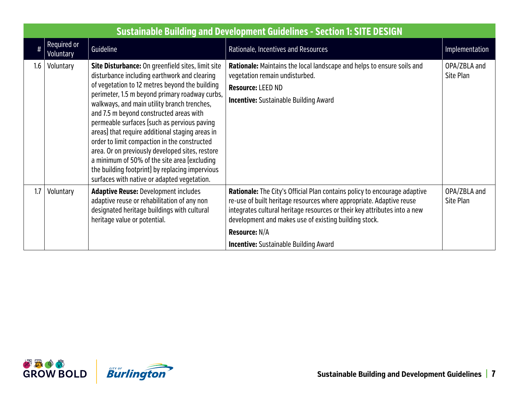|      | <b>Sustainable Building and Development Guidelines - Section 1: SITE DESIGN</b> |                                                                                                                                                                                                                                                                                                                                                                                                                                                                                                                                                                                                                                                        |                                                                                                                                                                                                                                                                                                                                                                 |                           |  |
|------|---------------------------------------------------------------------------------|--------------------------------------------------------------------------------------------------------------------------------------------------------------------------------------------------------------------------------------------------------------------------------------------------------------------------------------------------------------------------------------------------------------------------------------------------------------------------------------------------------------------------------------------------------------------------------------------------------------------------------------------------------|-----------------------------------------------------------------------------------------------------------------------------------------------------------------------------------------------------------------------------------------------------------------------------------------------------------------------------------------------------------------|---------------------------|--|
| $\#$ | Required or<br><b>Voluntary</b>                                                 | Guideline                                                                                                                                                                                                                                                                                                                                                                                                                                                                                                                                                                                                                                              | Rationale, Incentives and Resources                                                                                                                                                                                                                                                                                                                             | Implementation            |  |
| 1.6  | Voluntary                                                                       | Site Disturbance: On greenfield sites, limit site<br>disturbance including earthwork and clearing<br>of vegetation to 12 metres beyond the building<br>perimeter, 1.5 m beyond primary roadway curbs,<br>walkways, and main utility branch trenches,<br>and 7.5 m beyond constructed areas with<br>permeable surfaces (such as pervious paving<br>areas) that require additional staging areas in<br>order to limit compaction in the constructed<br>area. Or on previously developed sites, restore<br>a minimum of 50% of the site area (excluding<br>the building footprint) by replacing impervious<br>surfaces with native or adapted vegetation. | Rationale: Maintains the local landscape and helps to ensure soils and<br>vegetation remain undisturbed.<br>Resource: LEED ND<br><b>Incentive:</b> Sustainable Building Award                                                                                                                                                                                   | OPA/ZBLA and<br>Site Plan |  |
| 1.7  | Voluntary                                                                       | <b>Adaptive Reuse: Development includes</b><br>adaptive reuse or rehabilitation of any non<br>designated heritage buildings with cultural<br>heritage value or potential.                                                                                                                                                                                                                                                                                                                                                                                                                                                                              | <b>Rationale:</b> The City's Official Plan contains policy to encourage adaptive<br>re-use of built heritage resources where appropriate. Adaptive reuse<br>integrates cultural heritage resources or their key attributes into a new<br>development and makes use of existing building stock.<br>Resource: N/A<br><b>Incentive:</b> Sustainable Building Award | OPA/ZBLA and<br>Site Plan |  |

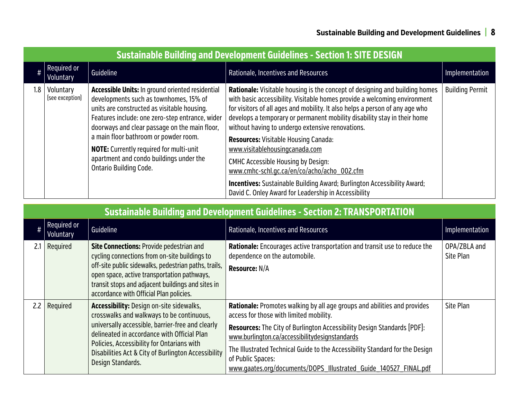|                  | <b>Sustainable Building and Development Guidelines - Section 1: SITE DESIGN</b> |                                                                                                                                                                                                                                                                                                                                                                                                                      |                                                                                                                                                                                                                                                                                                                                                                                                                                                                                                                                                                                                                                                                                                        |                        |  |
|------------------|---------------------------------------------------------------------------------|----------------------------------------------------------------------------------------------------------------------------------------------------------------------------------------------------------------------------------------------------------------------------------------------------------------------------------------------------------------------------------------------------------------------|--------------------------------------------------------------------------------------------------------------------------------------------------------------------------------------------------------------------------------------------------------------------------------------------------------------------------------------------------------------------------------------------------------------------------------------------------------------------------------------------------------------------------------------------------------------------------------------------------------------------------------------------------------------------------------------------------------|------------------------|--|
|                  | Required or<br>Voluntary                                                        | Guideline                                                                                                                                                                                                                                                                                                                                                                                                            | Rationale, Incentives and Resources                                                                                                                                                                                                                                                                                                                                                                                                                                                                                                                                                                                                                                                                    | Implementation         |  |
| 1.8 <sup>1</sup> | Voluntary<br>[see exception]                                                    | <b>Accessible Units: In ground oriented residential</b><br>developments such as townhomes, 15% of<br>units are constructed as visitable housing.<br>Features include: one zero-step entrance, wider<br>doorways and clear passage on the main floor,<br>a main floor bathroom or powder room.<br><b>NOTE:</b> Currently required for multi-unit<br>apartment and condo buildings under the<br>Ontario Building Code. | <b>Rationale:</b> Visitable housing is the concept of designing and building homes<br>with basic accessibility. Visitable homes provide a welcoming environment<br>for visitors of all ages and mobility. It also helps a person of any age who<br>develops a temporary or permanent mobility disability stay in their home<br>without having to undergo extensive renovations.<br><b>Resources: Visitable Housing Canada:</b><br>www.visitablehousingcanada.com<br><b>CMHC Accessible Housing by Design:</b><br>www.cmhc-schl.gc.ca/en/co/acho/acho 002.cfm<br><b>Incentives:</b> Sustainable Building Award; Burlington Accessibility Award;<br>David C. Onley Award for Leadership in Accessibility | <b>Building Permit</b> |  |

|     | <b>Sustainable Building and Development Guidelines - Section 2: TRANSPORTATION</b> |                                                                                                                                                                                                                                                                                                                           |                                                                                                                                                                                                                                                                                                                                                                                                                                         |                           |  |
|-----|------------------------------------------------------------------------------------|---------------------------------------------------------------------------------------------------------------------------------------------------------------------------------------------------------------------------------------------------------------------------------------------------------------------------|-----------------------------------------------------------------------------------------------------------------------------------------------------------------------------------------------------------------------------------------------------------------------------------------------------------------------------------------------------------------------------------------------------------------------------------------|---------------------------|--|
| #   | Required or<br>Voluntary                                                           | Guideline                                                                                                                                                                                                                                                                                                                 | Rationale, Incentives and Resources                                                                                                                                                                                                                                                                                                                                                                                                     | Implementation            |  |
| 2.1 | Required                                                                           | <b>Site Connections: Provide pedestrian and</b><br>cycling connections from on-site buildings to<br>off-site public sidewalks, pedestrian paths, trails,<br>open space, active transportation pathways,<br>transit stops and adjacent buildings and sites in<br>accordance with Official Plan policies.                   | <b>Rationale:</b> Encourages active transportation and transit use to reduce the<br>dependence on the automobile.<br><b>Resource: N/A</b>                                                                                                                                                                                                                                                                                               | OPA/ZBLA and<br>Site Plan |  |
| 2.2 | Required                                                                           | <b>Accessibility: Design on-site sidewalks,</b><br>crosswalks and walkways to be continuous,<br>universally accessible, barrier-free and clearly<br>delineated in accordance with Official Plan<br>Policies, Accessibility for Ontarians with<br>Disabilities Act & City of Burlington Accessibility<br>Design Standards. | <b>Rationale:</b> Promotes walking by all age groups and abilities and provides<br>access for those with limited mobility.<br><b>Resources:</b> The City of Burlington Accessibility Design Standards [PDF]:<br>www.burlington.ca/accessibilitydesignstandards<br>The Illustrated Technical Guide to the Accessibility Standard for the Design<br>of Public Spaces:<br>www.qaates.org/documents/DOPS Illustrated Guide 140527 FINAL.pdf | Site Plan                 |  |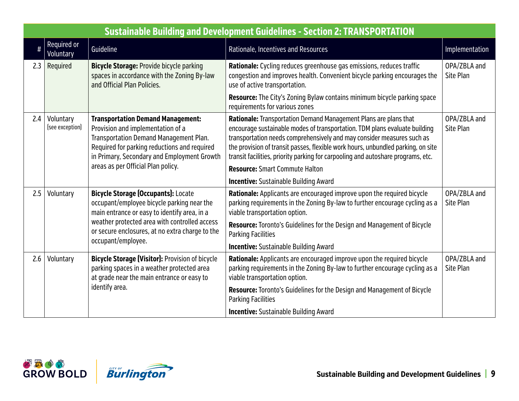|      | <b>Sustainable Building and Development Guidelines - Section 2: TRANSPORTATION</b>                                                                                                |                                                                                                                                                                                                                        |                                                                                                                                                                                                                                                                                                                                                                                                  |                           |  |
|------|-----------------------------------------------------------------------------------------------------------------------------------------------------------------------------------|------------------------------------------------------------------------------------------------------------------------------------------------------------------------------------------------------------------------|--------------------------------------------------------------------------------------------------------------------------------------------------------------------------------------------------------------------------------------------------------------------------------------------------------------------------------------------------------------------------------------------------|---------------------------|--|
| $\#$ | Required or<br>Voluntary                                                                                                                                                          | Guideline                                                                                                                                                                                                              | Rationale, Incentives and Resources                                                                                                                                                                                                                                                                                                                                                              | Implementation            |  |
| 2.3  | Required                                                                                                                                                                          | <b>Bicycle Storage: Provide bicycle parking</b><br>spaces in accordance with the Zoning By-law<br>and Official Plan Policies.                                                                                          | Rationale: Cycling reduces greenhouse gas emissions, reduces traffic<br>congestion and improves health. Convenient bicycle parking encourages the<br>use of active transportation.                                                                                                                                                                                                               | OPA/ZBLA and<br>Site Plan |  |
|      |                                                                                                                                                                                   |                                                                                                                                                                                                                        | Resource: The City's Zoning Bylaw contains minimum bicycle parking space<br>requirements for various zones                                                                                                                                                                                                                                                                                       |                           |  |
| 2.4  | Voluntary<br>[see exception]                                                                                                                                                      | <b>Transportation Demand Management:</b><br>Provision and implementation of a<br>Transportation Demand Management Plan.<br>Required for parking reductions and required<br>in Primary, Secondary and Employment Growth | Rationale: Transportation Demand Management Plans are plans that<br>encourage sustainable modes of transportation. TDM plans evaluate building<br>transportation needs comprehensively and may consider measures such as<br>the provision of transit passes, flexible work hours, unbundled parking, on site<br>transit facilities, priority parking for carpooling and autoshare programs, etc. | OPA/ZBLA and<br>Site Plan |  |
|      |                                                                                                                                                                                   | areas as per Official Plan policy.                                                                                                                                                                                     | <b>Resource: Smart Commute Halton</b>                                                                                                                                                                                                                                                                                                                                                            |                           |  |
|      |                                                                                                                                                                                   |                                                                                                                                                                                                                        | <b>Incentive:</b> Sustainable Building Award                                                                                                                                                                                                                                                                                                                                                     |                           |  |
| 2.5  | Voluntary                                                                                                                                                                         | <b>Bicycle Storage (Occupants): Locate</b><br>occupant/employee bicycle parking near the<br>main entrance or easy to identify area, in a                                                                               | Rationale: Applicants are encouraged improve upon the required bicycle<br>parking requirements in the Zoning By-law to further encourage cycling as a<br>viable transportation option.                                                                                                                                                                                                           | OPA/ZBLA and<br>Site Plan |  |
|      |                                                                                                                                                                                   | weather protected area with controlled access<br>or secure enclosures, at no extra charge to the<br>occupant/employee.                                                                                                 | <b>Resource:</b> Toronto's Guidelines for the Design and Management of Bicycle<br><b>Parking Facilities</b>                                                                                                                                                                                                                                                                                      |                           |  |
|      |                                                                                                                                                                                   |                                                                                                                                                                                                                        | <b>Incentive:</b> Sustainable Building Award                                                                                                                                                                                                                                                                                                                                                     |                           |  |
| 2.6  | <b>Bicycle Storage (Visitor): Provision of bicycle</b><br>Voluntary<br>parking spaces in a weather protected area<br>at grade near the main entrance or easy to<br>identify area. |                                                                                                                                                                                                                        | Rationale: Applicants are encouraged improve upon the required bicycle<br>parking requirements in the Zoning By-law to further encourage cycling as a<br>viable transportation option.                                                                                                                                                                                                           | OPA/ZBLA and<br>Site Plan |  |
|      |                                                                                                                                                                                   |                                                                                                                                                                                                                        | Resource: Toronto's Guidelines for the Design and Management of Bicycle<br><b>Parking Facilities</b>                                                                                                                                                                                                                                                                                             |                           |  |
|      |                                                                                                                                                                                   |                                                                                                                                                                                                                        | <b>Incentive:</b> Sustainable Building Award                                                                                                                                                                                                                                                                                                                                                     |                           |  |



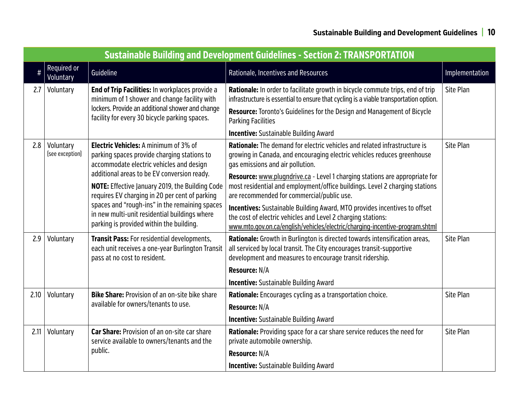|      | <b>Sustainable Building and Development Guidelines - Section 2: TRANSPORTATION</b> |                                                                                                                                                         |                                                                                                                                                                                                                           |                |  |
|------|------------------------------------------------------------------------------------|---------------------------------------------------------------------------------------------------------------------------------------------------------|---------------------------------------------------------------------------------------------------------------------------------------------------------------------------------------------------------------------------|----------------|--|
| $\#$ | Required or<br>Voluntary                                                           | Guideline                                                                                                                                               | Rationale, Incentives and Resources                                                                                                                                                                                       | Implementation |  |
| 2.7  | Voluntary                                                                          | End of Trip Facilities: In workplaces provide a<br>minimum of 1 shower and change facility with                                                         | Rationale: In order to facilitate growth in bicycle commute trips, end of trip<br>infrastructure is essential to ensure that cycling is a viable transportation option.                                                   | Site Plan      |  |
|      |                                                                                    | lockers. Provide an additional shower and change<br>facility for every 30 bicycle parking spaces.                                                       | <b>Resource:</b> Toronto's Guidelines for the Design and Management of Bicycle<br><b>Parking Facilities</b>                                                                                                               |                |  |
|      |                                                                                    |                                                                                                                                                         | <b>Incentive:</b> Sustainable Building Award                                                                                                                                                                              |                |  |
| 2.8  | Voluntary<br>[see exception]                                                       | <b>Electric Vehicles:</b> A minimum of 3% of<br>parking spaces provide charging stations to<br>accommodate electric vehicles and design                 | <b>Rationale:</b> The demand for electric vehicles and related infrastructure is<br>growing in Canada, and encouraging electric vehicles reduces greenhouse<br>gas emissions and air pollution.                           | Site Plan      |  |
|      |                                                                                    | additional areas to be EV conversion ready.<br><b>NOTE:</b> Effective January 2019, the Building Code<br>requires EV charging in 20 per cent of parking | Resource: www.plugndrive.ca - Level 1 charging stations are appropriate for<br>most residential and employment/office buildings. Level 2 charging stations<br>are recommended for commercial/public use.                  |                |  |
|      |                                                                                    | spaces and "rough-ins" in the remaining spaces<br>in new multi-unit residential buildings where<br>parking is provided within the building.             | Incentives: Sustainable Building Award, MTO provides incentives to offset<br>the cost of electric vehicles and Level 2 charging stations:<br>www.mto.gov.on.ca/english/vehicles/electric/charging-incentive-program.shtml |                |  |
| 2.9  | Voluntary                                                                          | Transit Pass: For residential developments,<br>each unit receives a one-year Burlington Transit<br>pass at no cost to resident.                         | Rationale: Growth in Burlington is directed towards intensification areas,<br>all serviced by local transit. The City encourages transit-supportive<br>development and measures to encourage transit ridership.           | Site Plan      |  |
|      |                                                                                    |                                                                                                                                                         | Resource: N/A                                                                                                                                                                                                             |                |  |
|      |                                                                                    |                                                                                                                                                         | <b>Incentive:</b> Sustainable Building Award                                                                                                                                                                              |                |  |
| 2.10 | Voluntary                                                                          | <b>Bike Share: Provision of an on-site bike share</b>                                                                                                   | Rationale: Encourages cycling as a transportation choice.                                                                                                                                                                 | Site Plan      |  |
|      |                                                                                    | available for owners/tenants to use.                                                                                                                    | Resource: N/A                                                                                                                                                                                                             |                |  |
|      |                                                                                    |                                                                                                                                                         | <b>Incentive:</b> Sustainable Building Award                                                                                                                                                                              |                |  |
| 2.11 | Voluntary                                                                          | Car Share: Provision of an on-site car share<br>service available to owners/tenants and the                                                             | Rationale: Providing space for a car share service reduces the need for<br>private automobile ownership.                                                                                                                  | Site Plan      |  |
|      |                                                                                    | public.                                                                                                                                                 | Resource: N/A                                                                                                                                                                                                             |                |  |
|      |                                                                                    |                                                                                                                                                         | <b>Incentive:</b> Sustainable Building Award                                                                                                                                                                              |                |  |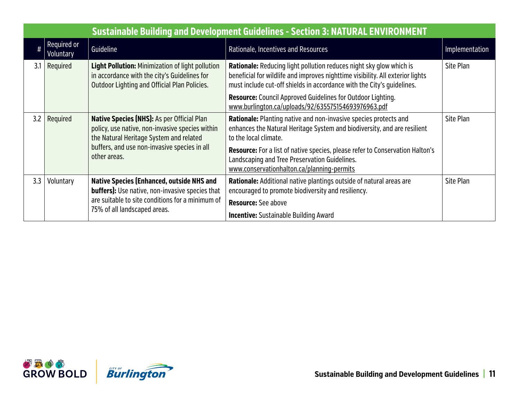|     | <b>Sustainable Building and Development Guidelines - Section 3: NATURAL ENVIRONMENT</b> |                                                                                                                                                         |                                                                                                                                                                                                                                        |                |  |
|-----|-----------------------------------------------------------------------------------------|---------------------------------------------------------------------------------------------------------------------------------------------------------|----------------------------------------------------------------------------------------------------------------------------------------------------------------------------------------------------------------------------------------|----------------|--|
|     | Required or<br>Voluntary                                                                | Guideline                                                                                                                                               | Rationale, Incentives and Resources                                                                                                                                                                                                    | Implementation |  |
| 3.1 | Required                                                                                | <b>Light Pollution:</b> Minimization of light pollution<br>in accordance with the city's Guidelines for<br>Outdoor Lighting and Official Plan Policies. | <b>Rationale:</b> Reducing light pollution reduces night sky glow which is<br>beneficial for wildlife and improves nighttime visibility. All exterior lights<br>must include cut-off shields in accordance with the City's quidelines. | Site Plan      |  |
|     |                                                                                         |                                                                                                                                                         | <b>Resource:</b> Council Approved Guidelines for Outdoor Lighting.<br>www.burlington.ca/uploads/92/635575154693976963.pdf                                                                                                              |                |  |
| 3.2 | Required                                                                                | Native Species (NHS): As per Official Plan<br>policy, use native, non-invasive species within<br>the Natural Heritage System and related                | Rationale: Planting native and non-invasive species protects and<br>enhances the Natural Heritage System and biodiversity, and are resilient<br>to the local climate.                                                                  | Site Plan      |  |
|     |                                                                                         | buffers, and use non-invasive species in all<br>other areas.                                                                                            | Resource: For a list of native species, please refer to Conservation Halton's<br>Landscaping and Tree Preservation Guidelines.<br>www.conservationhalton.ca/planning-permits                                                           |                |  |
| 3.3 | Voluntary                                                                               | <b>Native Species (Enhanced, outside NHS and</b><br><b>buffers):</b> Use native, non-invasive species that                                              | Rationale: Additional native plantings outside of natural areas are<br>encouraged to promote biodiversity and resiliency.                                                                                                              | Site Plan      |  |
|     |                                                                                         | are suitable to site conditions for a minimum of                                                                                                        | <b>Resource:</b> See above                                                                                                                                                                                                             |                |  |
|     |                                                                                         | 75% of all landscaped areas.                                                                                                                            | <b>Incentive:</b> Sustainable Building Award                                                                                                                                                                                           |                |  |

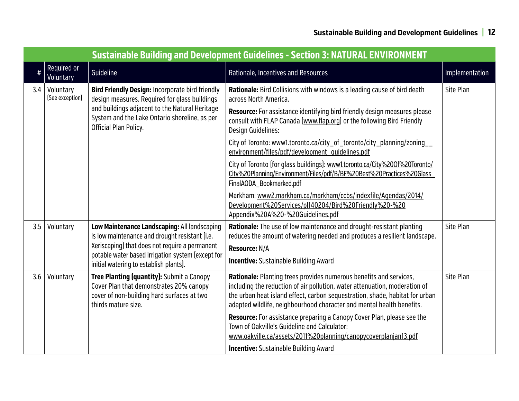|      | <b>Sustainable Building and Development Guidelines - Section 3: NATURAL ENVIRONMENT</b> |                                                                                                                                                                                                                                                 |                                                                                                                                                                                                                                                                                                                                                                                                                                                                                                                                                                                                                                                                                                                                                                               |                  |  |
|------|-----------------------------------------------------------------------------------------|-------------------------------------------------------------------------------------------------------------------------------------------------------------------------------------------------------------------------------------------------|-------------------------------------------------------------------------------------------------------------------------------------------------------------------------------------------------------------------------------------------------------------------------------------------------------------------------------------------------------------------------------------------------------------------------------------------------------------------------------------------------------------------------------------------------------------------------------------------------------------------------------------------------------------------------------------------------------------------------------------------------------------------------------|------------------|--|
| $\#$ | Required or<br>Voluntary                                                                | Guideline                                                                                                                                                                                                                                       | Rationale, Incentives and Resources                                                                                                                                                                                                                                                                                                                                                                                                                                                                                                                                                                                                                                                                                                                                           | Implementation   |  |
| 3.4  | Voluntary<br>[See exception]                                                            | <b>Bird Friendly Design: Incorporate bird friendly</b><br>design measures. Required for glass buildings<br>and buildings adjacent to the Natural Heritage<br>System and the Lake Ontario shoreline, as per<br>Official Plan Policy.             | Rationale: Bird Collisions with windows is a leading cause of bird death<br>across North America.<br><b>Resource:</b> For assistance identifying bird friendly design measures please<br>consult with FLAP Canada [www.flap.org] or the following Bird Friendly<br><b>Design Guidelines:</b><br>City of Toronto: www1.toronto.ca/city_of_toronto/city_planning/zoning<br>environment/files/pdf/development_quidelines.pdf<br>City of Toronto (for glass buildings): www1.toronto.ca/City%200f%20Toronto/<br>City%20Planning/Environment/Files/pdf/B/BF%20Best%20Practices%20Glass<br>FinalAODA Bookmarked.pdf<br>Markham: www2.markham.ca/markham/ccbs/indexfile/Agendas/2014/<br>Development%20Services/pl140204/Bird%20Friendly%20-%20<br>Appendix%20A%20-%20Guidelines.pdf | Site Plan        |  |
| 3.5  | Voluntary                                                                               | Low Maintenance Landscaping: All landscaping<br>is low maintenance and drought resistant (i.e.<br>Xeriscaping) that does not require a permanent<br>potable water based irrigation system (except for<br>initial watering to establish plants). | <b>Rationale:</b> The use of low maintenance and drought-resistant planting<br>reduces the amount of watering needed and produces a resilient landscape.<br>Resource: N/A<br><b>Incentive:</b> Sustainable Building Award                                                                                                                                                                                                                                                                                                                                                                                                                                                                                                                                                     | Site Plan        |  |
| 3.6  | Voluntary                                                                               | Tree Planting (quantity): Submit a Canopy<br>Cover Plan that demonstrates 20% canopy<br>cover of non-building hard surfaces at two<br>thirds mature size.                                                                                       | Rationale: Planting trees provides numerous benefits and services,<br>including the reduction of air pollution, water attenuation, moderation of<br>the urban heat island effect, carbon sequestration, shade, habitat for urban<br>adapted wildlife, neighbourhood character and mental health benefits.<br>Resource: For assistance preparing a Canopy Cover Plan, please see the<br>Town of Oakville's Guideline and Calculator:<br>www.oakville.ca/assets/2011%20planning/canopycoverplanjan13.pdf<br><b>Incentive:</b> Sustainable Building Award                                                                                                                                                                                                                        | <b>Site Plan</b> |  |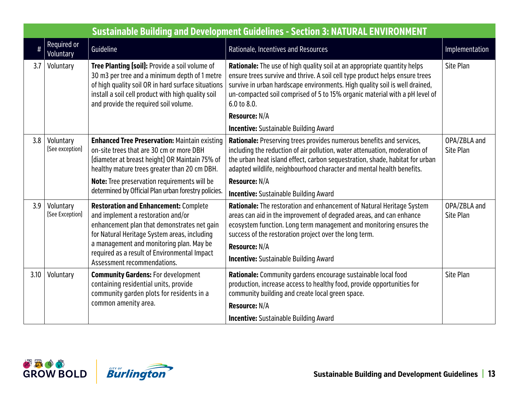|      | <b>Sustainable Building and Development Guidelines - Section 3: NATURAL ENVIRONMENT</b> |                                                                                                                                                                                                                                                                                                              |                                                                                                                                                                                                                                                                                                                                                |                           |  |
|------|-----------------------------------------------------------------------------------------|--------------------------------------------------------------------------------------------------------------------------------------------------------------------------------------------------------------------------------------------------------------------------------------------------------------|------------------------------------------------------------------------------------------------------------------------------------------------------------------------------------------------------------------------------------------------------------------------------------------------------------------------------------------------|---------------------------|--|
| #    | Required or<br><b>Voluntary</b>                                                         | Guideline                                                                                                                                                                                                                                                                                                    | Rationale, Incentives and Resources                                                                                                                                                                                                                                                                                                            | Implementation            |  |
| 3.7  | Voluntary                                                                               | Tree Planting (soil): Provide a soil volume of<br>30 m3 per tree and a minimum depth of 1 metre<br>of high quality soil OR in hard surface situations<br>install a soil cell product with high quality soil<br>and provide the required soil volume.                                                         | Rationale: The use of high quality soil at an appropriate quantity helps<br>ensure trees survive and thrive. A soil cell type product helps ensure trees<br>survive in urban hardscape environments. High quality soil is well drained,<br>un-compacted soil comprised of 5 to 15% organic material with a pH level of<br>6.0 to 8.0.          | <b>Site Plan</b>          |  |
|      |                                                                                         |                                                                                                                                                                                                                                                                                                              | <b>Resource: N/A</b><br><b>Incentive:</b> Sustainable Building Award                                                                                                                                                                                                                                                                           |                           |  |
| 3.8  | Voluntary<br>[See exception]                                                            | <b>Enhanced Tree Preservation: Maintain existing</b><br>on-site trees that are 30 cm or more DBH<br>(diameter at breast height) OR Maintain 75% of<br>healthy mature trees greater than 20 cm DBH.                                                                                                           | Rationale: Preserving trees provides numerous benefits and services,<br>including the reduction of air pollution, water attenuation, moderation of<br>the urban heat island effect, carbon sequestration, shade, habitat for urban<br>adapted wildlife, neighbourhood character and mental health benefits.                                    | OPA/ZBLA and<br>Site Plan |  |
|      |                                                                                         | Note: Tree preservation requirements will be                                                                                                                                                                                                                                                                 | Resource: N/A                                                                                                                                                                                                                                                                                                                                  |                           |  |
|      |                                                                                         | determined by Official Plan urban forestry policies.                                                                                                                                                                                                                                                         | <b>Incentive:</b> Sustainable Building Award                                                                                                                                                                                                                                                                                                   |                           |  |
| 3.9  | Voluntary<br>[See Exception]                                                            | <b>Restoration and Enhancement: Complete</b><br>and implement a restoration and/or<br>enhancement plan that demonstrates net gain<br>for Natural Heritage System areas, including<br>a management and monitoring plan. May be<br>required as a result of Environmental Impact<br>Assessment recommendations. | Rationale: The restoration and enhancement of Natural Heritage System<br>areas can aid in the improvement of degraded areas, and can enhance<br>ecosystem function. Long term management and monitoring ensures the<br>success of the restoration project over the long term.<br>Resource: N/A<br><b>Incentive:</b> Sustainable Building Award | OPA/ZBLA and<br>Site Plan |  |
| 3.10 | Voluntary                                                                               | <b>Community Gardens: For development</b><br>containing residential units, provide<br>community garden plots for residents in a                                                                                                                                                                              | Rationale: Community gardens encourage sustainable local food<br>production, increase access to healthy food, provide opportunities for<br>community building and create local green space.                                                                                                                                                    | Site Plan                 |  |
|      |                                                                                         | common amenity area.                                                                                                                                                                                                                                                                                         | <b>Resource: N/A</b>                                                                                                                                                                                                                                                                                                                           |                           |  |
|      |                                                                                         |                                                                                                                                                                                                                                                                                                              | <b>Incentive:</b> Sustainable Building Award                                                                                                                                                                                                                                                                                                   |                           |  |



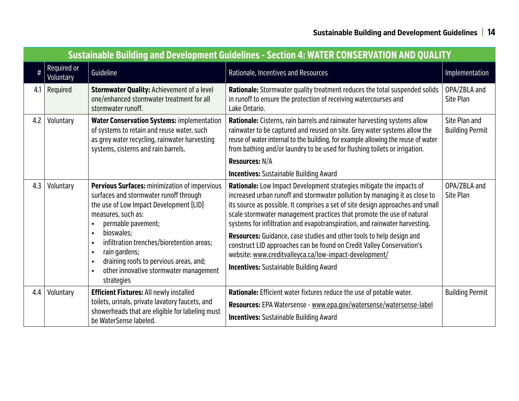|     | <b>Sustainable Building and Development Guidelines - Section 4: WATER CONSERVATION AND QUALITY</b> |                                                                                                                                                                                                                                                                                                                                                                                        |                                                                                                                                                                                                                                                                                                                                                                                                                                                                                                                                                                                                                                                         |                                         |  |
|-----|----------------------------------------------------------------------------------------------------|----------------------------------------------------------------------------------------------------------------------------------------------------------------------------------------------------------------------------------------------------------------------------------------------------------------------------------------------------------------------------------------|---------------------------------------------------------------------------------------------------------------------------------------------------------------------------------------------------------------------------------------------------------------------------------------------------------------------------------------------------------------------------------------------------------------------------------------------------------------------------------------------------------------------------------------------------------------------------------------------------------------------------------------------------------|-----------------------------------------|--|
|     | Required or<br>Voluntary                                                                           | Guideline                                                                                                                                                                                                                                                                                                                                                                              | Rationale, Incentives and Resources                                                                                                                                                                                                                                                                                                                                                                                                                                                                                                                                                                                                                     | Implementation                          |  |
| 4.1 | Required                                                                                           | <b>Stormwater Quality: Achievement of a level</b><br>one/enhanced stormwater treatment for all<br>stormwater runoff.                                                                                                                                                                                                                                                                   | Rationale: Stormwater quality treatment reduces the total suspended solids<br>in runoff to ensure the protection of receiving watercourses and<br>Lake Ontario.                                                                                                                                                                                                                                                                                                                                                                                                                                                                                         | OPA/ZBLA and<br>Site Plan               |  |
| 4.2 | Voluntary                                                                                          | <b>Water Conservation Systems: implementation</b><br>of systems to retain and reuse water, such<br>as grey water recycling, rainwater harvesting<br>systems, cisterns and rain barrels.                                                                                                                                                                                                | Rationale: Cisterns, rain barrels and rainwater harvesting systems allow<br>rainwater to be captured and reused on site. Grey water systems allow the<br>reuse of water internal to the building, for example allowing the reuse of water<br>from bathing and/or laundry to be used for flushing toilets or irrigation.                                                                                                                                                                                                                                                                                                                                 | Site Plan and<br><b>Building Permit</b> |  |
|     |                                                                                                    |                                                                                                                                                                                                                                                                                                                                                                                        | <b>Resources: N/A</b>                                                                                                                                                                                                                                                                                                                                                                                                                                                                                                                                                                                                                                   |                                         |  |
|     |                                                                                                    |                                                                                                                                                                                                                                                                                                                                                                                        | <b>Incentives:</b> Sustainable Building Award                                                                                                                                                                                                                                                                                                                                                                                                                                                                                                                                                                                                           |                                         |  |
| 4.3 | Voluntary                                                                                          | Pervious Surfaces: minimization of impervious<br>surfaces and stormwater runoff through<br>the use of Low Impact Development (LID)<br>measures, such as:<br>permable pavement;<br>bioswales;<br>$\bullet$<br>infiltration trenches/bioretention areas;<br>rain gardens;<br>$\bullet$<br>draining roofs to pervious areas, and;<br>other innovative stormwater management<br>strategies | Rationale: Low Impact Development strategies mitigate the impacts of<br>increased urban runoff and stormwater pollution by managing it as close to<br>its source as possible. It comprises a set of site design approaches and small<br>scale stormwater management practices that promote the use of natural<br>systems for infiltration and evapotranspiration, and rainwater harvesting.<br>Resources: Guidance, case studies and other tools to help design and<br>construct LID approaches can be found on Credit Valley Conservation's<br>website: www.creditvalleyca.ca/low-impact-development/<br><b>Incentives:</b> Sustainable Building Award | OPA/ZBLA and<br>Site Plan               |  |
| 4.4 | Voluntary                                                                                          | <b>Efficient Fixtures: All newly installed</b><br>toilets, urinals, private lavatory faucets, and<br>showerheads that are eligible for labeling must<br>be WaterSense labeled.                                                                                                                                                                                                         | Rationale: Efficient water fixtures reduce the use of potable water.<br>Resources: EPA Watersense - www.epa.gov/watersense/watersense-label<br><b>Incentives:</b> Sustainable Building Award                                                                                                                                                                                                                                                                                                                                                                                                                                                            | <b>Building Permit</b>                  |  |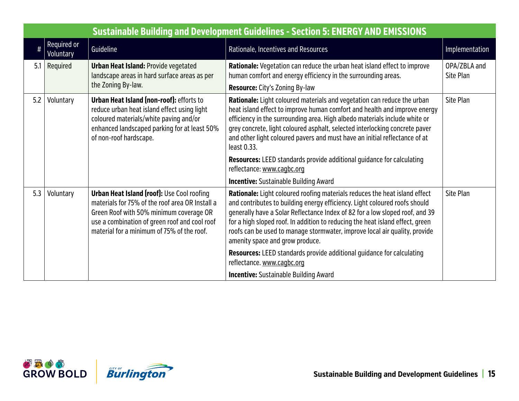|     | <b>Sustainable Building and Development Guidelines - Section 5: ENERGY AND EMISSIONS</b> |                                                                                                                                                                                                                                                |                                                                                                                                                                                                                                                                                                                                                                                                                                                                                                                                                                                                                                                          |                           |  |  |
|-----|------------------------------------------------------------------------------------------|------------------------------------------------------------------------------------------------------------------------------------------------------------------------------------------------------------------------------------------------|----------------------------------------------------------------------------------------------------------------------------------------------------------------------------------------------------------------------------------------------------------------------------------------------------------------------------------------------------------------------------------------------------------------------------------------------------------------------------------------------------------------------------------------------------------------------------------------------------------------------------------------------------------|---------------------------|--|--|
|     | Required or<br>Voluntary                                                                 | Guideline                                                                                                                                                                                                                                      | Rationale, Incentives and Resources                                                                                                                                                                                                                                                                                                                                                                                                                                                                                                                                                                                                                      | Implementation            |  |  |
| 5.1 | Required                                                                                 | <b>Urban Heat Island: Provide vegetated</b><br>landscape areas in hard surface areas as per<br>the Zoning By-law.                                                                                                                              | <b>Rationale:</b> Vegetation can reduce the urban heat island effect to improve<br>human comfort and energy efficiency in the surrounding areas.<br>Resource: City's Zoning By-law                                                                                                                                                                                                                                                                                                                                                                                                                                                                       | OPA/ZBLA and<br>Site Plan |  |  |
| 5.2 | Voluntary                                                                                | <b>Urban Heat Island (non-roof): efforts to</b><br>reduce urban heat island effect using light<br>coloured materials/white paving and/or<br>enhanced landscaped parking for at least 50%<br>of non-roof hardscape.                             | Rationale: Light coloured materials and vegetation can reduce the urban<br>heat island effect to improve human comfort and health and improve energy<br>efficiency in the surrounding area. High albedo materials include white or<br>grey concrete, light coloured asphalt, selected interlocking concrete paver<br>and other light coloured pavers and must have an initial reflectance of at<br>least 0.33.<br><b>Resources:</b> LEED standards provide additional guidance for calculating<br>reflectance: www.cagbc.org                                                                                                                             | Site Plan                 |  |  |
| 5.3 | Voluntary                                                                                | <b>Urban Heat Island (roof): Use Cool roofing</b><br>materials for 75% of the roof area OR Install a<br>Green Roof with 50% minimum coverage OR<br>use a combination of green roof and cool roof<br>material for a minimum of 75% of the roof. | <b>Incentive:</b> Sustainable Building Award<br>Rationale: Light coloured roofing materials reduces the heat island effect<br>and contributes to building energy efficiency. Light coloured roofs should<br>generally have a Solar Reflectance Index of 82 for a low sloped roof, and 39<br>for a high sloped roof. In addition to reducing the heat island effect, green<br>roofs can be used to manage stormwater, improve local air quality, provide<br>amenity space and grow produce.<br><b>Resources:</b> LEED standards provide additional guidance for calculating<br>reflectance. www.cagbc.org<br><b>Incentive:</b> Sustainable Building Award | Site Plan                 |  |  |

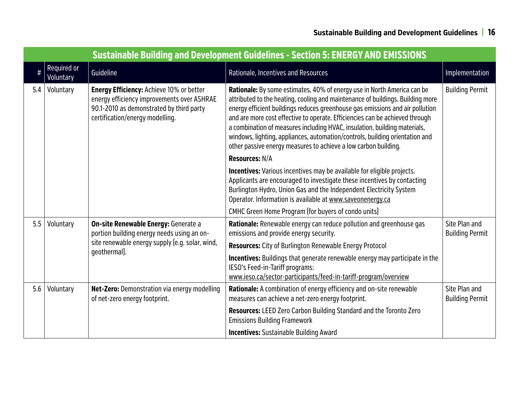| <b>Sustainable Building and Development Guidelines - Section 5: ENERGY AND EMISSIONS</b> |                          |                                                                                                                                                                              |                                                                                                                                                                                                                                                                                                                                                                                                                                                                                                                                                            |                                         |  |
|------------------------------------------------------------------------------------------|--------------------------|------------------------------------------------------------------------------------------------------------------------------------------------------------------------------|------------------------------------------------------------------------------------------------------------------------------------------------------------------------------------------------------------------------------------------------------------------------------------------------------------------------------------------------------------------------------------------------------------------------------------------------------------------------------------------------------------------------------------------------------------|-----------------------------------------|--|
| $\#$                                                                                     | Required or<br>Voluntary | Guideline                                                                                                                                                                    | Rationale, Incentives and Resources                                                                                                                                                                                                                                                                                                                                                                                                                                                                                                                        | Implementation                          |  |
| 5.4                                                                                      | Voluntary                | <b>Energy Efficiency: Achieve 10% or better</b><br>energy efficiency improvements over ASHRAE<br>90.1-2010 as demonstrated by third party<br>certification/energy modelling. | Rationale: By some estimates, 40% of energy use in North America can be<br>attributed to the heating, cooling and maintenance of buildings. Building more<br>energy efficient buildings reduces greenhouse gas emissions and air pollution<br>and are more cost effective to operate. Efficiencies can be achieved through<br>a combination of measures including HVAC, insulation, building materials,<br>windows, lighting, appliances, automation/controls, building orientation and<br>other passive energy measures to achieve a low carbon building. | <b>Building Permit</b>                  |  |
|                                                                                          |                          |                                                                                                                                                                              | <b>Resources: N/A</b>                                                                                                                                                                                                                                                                                                                                                                                                                                                                                                                                      |                                         |  |
|                                                                                          |                          |                                                                                                                                                                              | <b>Incentives:</b> Various incentives may be available for eligible projects.<br>Applicants are encouraged to investigate these incentives by contacting<br>Burlington Hydro, Union Gas and the Independent Electricity System<br>Operator. Information is available at www.saveonenergy.ca                                                                                                                                                                                                                                                                |                                         |  |
|                                                                                          |                          |                                                                                                                                                                              | CMHC Green Home Program (for buyers of condo units)                                                                                                                                                                                                                                                                                                                                                                                                                                                                                                        |                                         |  |
| 5.5                                                                                      | Voluntary                | On-site Renewable Energy: Generate a<br>portion building energy needs using an on-<br>site renewable energy supply (e.g. solar, wind,                                        | Rationale: Renewable energy can reduce pollution and greenhouse gas<br>emissions and provide energy security.                                                                                                                                                                                                                                                                                                                                                                                                                                              | Site Plan and<br><b>Building Permit</b> |  |
|                                                                                          |                          |                                                                                                                                                                              | <b>Resources:</b> City of Burlington Renewable Energy Protocol                                                                                                                                                                                                                                                                                                                                                                                                                                                                                             |                                         |  |
|                                                                                          |                          | geothermal).                                                                                                                                                                 | <b>Incentives:</b> Buildings that generate renewable energy may participate in the<br>IESO's Feed-in-Tariff programs:<br>www.ieso.ca/sector-participants/feed-in-tariff-program/overview                                                                                                                                                                                                                                                                                                                                                                   |                                         |  |
| 5.6                                                                                      | Voluntary                | Net-Zero: Demonstration via energy modelling<br>of net-zero energy footprint.                                                                                                | <b>Rationale:</b> A combination of energy efficiency and on-site renewable<br>measures can achieve a net-zero energy footprint.                                                                                                                                                                                                                                                                                                                                                                                                                            | Site Plan and<br><b>Building Permit</b> |  |
|                                                                                          |                          |                                                                                                                                                                              | Resources: LEED Zero Carbon Building Standard and the Toronto Zero<br><b>Emissions Building Framework</b>                                                                                                                                                                                                                                                                                                                                                                                                                                                  |                                         |  |
|                                                                                          |                          |                                                                                                                                                                              | <b>Incentives:</b> Sustainable Building Award                                                                                                                                                                                                                                                                                                                                                                                                                                                                                                              |                                         |  |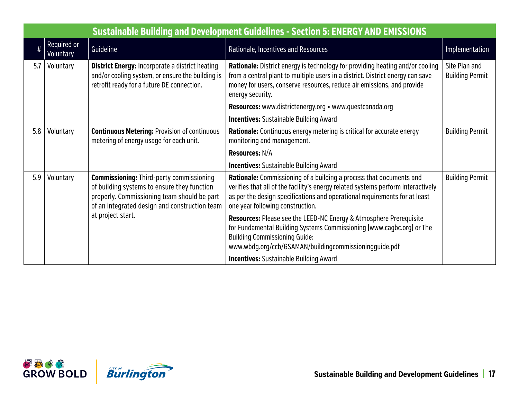|     | <b>Sustainable Building and Development Guidelines - Section 5: ENERGY AND EMISSIONS</b> |                                                                                                                                                                                                |                                                                                                                                                                                                                                                                           |                                         |  |
|-----|------------------------------------------------------------------------------------------|------------------------------------------------------------------------------------------------------------------------------------------------------------------------------------------------|---------------------------------------------------------------------------------------------------------------------------------------------------------------------------------------------------------------------------------------------------------------------------|-----------------------------------------|--|
| #   | Required or<br>Voluntary                                                                 | Guideline                                                                                                                                                                                      | Rationale, Incentives and Resources                                                                                                                                                                                                                                       | Implementation                          |  |
| 5.7 | Voluntary                                                                                | <b>District Energy: Incorporate a district heating</b><br>and/or cooling system, or ensure the building is<br>retrofit ready for a future DE connection.                                       | <b>Rationale:</b> District energy is technology for providing heating and/or cooling<br>from a central plant to multiple users in a district. District energy can save<br>money for users, conserve resources, reduce air emissions, and provide<br>energy security.      | Site Plan and<br><b>Building Permit</b> |  |
|     |                                                                                          |                                                                                                                                                                                                | Resources: www.districtenergy.org • www.questcanada.org                                                                                                                                                                                                                   |                                         |  |
|     |                                                                                          |                                                                                                                                                                                                | <b>Incentives:</b> Sustainable Building Award                                                                                                                                                                                                                             |                                         |  |
| 5.8 | Voluntary                                                                                | <b>Continuous Metering: Provision of continuous</b><br>metering of energy usage for each unit.                                                                                                 | <b>Rationale:</b> Continuous energy metering is critical for accurate energy<br>monitoring and management.                                                                                                                                                                | <b>Building Permit</b>                  |  |
|     |                                                                                          |                                                                                                                                                                                                | <b>Resources: N/A</b>                                                                                                                                                                                                                                                     |                                         |  |
|     |                                                                                          |                                                                                                                                                                                                | <b>Incentives:</b> Sustainable Building Award                                                                                                                                                                                                                             |                                         |  |
| 5.9 | Voluntary                                                                                | <b>Commissioning: Third-party commissioning</b><br>of building systems to ensure they function<br>properly. Commissioning team should be part<br>of an integrated design and construction team | Rationale: Commissioning of a building a process that documents and<br>verifies that all of the facility's energy related systems perform interactively<br>as per the design specifications and operational requirements for at least<br>one year following construction. | <b>Building Permit</b>                  |  |
|     |                                                                                          | at project start.                                                                                                                                                                              | Resources: Please see the LEED-NC Energy & Atmosphere Prerequisite<br>for Fundamental Building Systems Commissioning (www.cagbc.org) or The<br><b>Building Commissioning Guide:</b><br>www.wbdq.org/ccb/GSAMAN/buildingcommissioningquide.pdf                             |                                         |  |
|     |                                                                                          |                                                                                                                                                                                                | <b>Incentives:</b> Sustainable Building Award                                                                                                                                                                                                                             |                                         |  |

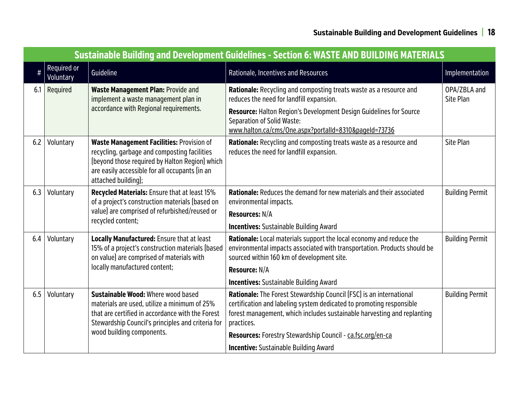|     | <b>Sustainable Building and Development Guidelines - Section 6: WASTE AND BUILDING MATERIALS</b> |                                                                                                                                                                                                                      |                                                                                                                                                                                                                                      |                           |  |  |
|-----|--------------------------------------------------------------------------------------------------|----------------------------------------------------------------------------------------------------------------------------------------------------------------------------------------------------------------------|--------------------------------------------------------------------------------------------------------------------------------------------------------------------------------------------------------------------------------------|---------------------------|--|--|
|     | Required or<br>Voluntary                                                                         | Guideline                                                                                                                                                                                                            | Rationale, Incentives and Resources                                                                                                                                                                                                  | Implementation            |  |  |
| 6.1 | Required                                                                                         | <b>Waste Management Plan: Provide and</b><br>implement a waste management plan in                                                                                                                                    | Rationale: Recycling and composting treats waste as a resource and<br>reduces the need for landfill expansion.                                                                                                                       | OPA/ZBLA and<br>Site Plan |  |  |
|     |                                                                                                  | accordance with Regional requirements.                                                                                                                                                                               | <b>Resource:</b> Halton Region's Development Design Guidelines for Source<br><b>Separation of Solid Waste:</b><br>www.halton.ca/cms/One.aspx?portalId=8310&pageId=73736                                                              |                           |  |  |
| 6.2 | Voluntary                                                                                        | Waste Management Facilities: Provision of<br>recycling, garbage and composting facilities<br>(beyond those required by Halton Region) which<br>are easily accessible for all occupants (in an<br>attached building); | Rationale: Recycling and composting treats waste as a resource and<br>reduces the need for landfill expansion.                                                                                                                       | <b>Site Plan</b>          |  |  |
| 6.3 | Voluntary                                                                                        | Recycled Materials: Ensure that at least 15%<br>of a project's construction materials (based on<br>value) are comprised of refurbished/reused or<br>recycled content;                                                | <b>Rationale:</b> Reduces the demand for new materials and their associated<br>environmental impacts.                                                                                                                                | <b>Building Permit</b>    |  |  |
|     |                                                                                                  |                                                                                                                                                                                                                      | <b>Resources: N/A</b>                                                                                                                                                                                                                |                           |  |  |
| 6.4 | Voluntary                                                                                        | <b>Locally Manufactured: Ensure that at least</b>                                                                                                                                                                    | <b>Incentives:</b> Sustainable Building Award<br>Rationale: Local materials support the local economy and reduce the                                                                                                                 | <b>Building Permit</b>    |  |  |
|     | locally manufactured content;                                                                    | 15% of a project's construction materials (based<br>on value) are comprised of materials with                                                                                                                        | environmental impacts associated with transportation. Products should be<br>sourced within 160 km of development site.                                                                                                               |                           |  |  |
|     |                                                                                                  |                                                                                                                                                                                                                      | Resource: N/A                                                                                                                                                                                                                        |                           |  |  |
|     |                                                                                                  |                                                                                                                                                                                                                      | <b>Incentives:</b> Sustainable Building Award                                                                                                                                                                                        |                           |  |  |
| 6.5 | Voluntary                                                                                        | Sustainable Wood: Where wood based<br>materials are used, utilize a minimum of 25%<br>that are certified in accordance with the Forest<br>Stewardship Council's principles and criteria for                          | Rationale: The Forest Stewardship Council (FSC) is an international<br>certification and labeling system dedicated to promoting responsible<br>forest management, which includes sustainable harvesting and replanting<br>practices. | <b>Building Permit</b>    |  |  |
|     |                                                                                                  | wood building components.                                                                                                                                                                                            | Resources: Forestry Stewardship Council - ca.fsc.org/en-ca                                                                                                                                                                           |                           |  |  |
|     |                                                                                                  |                                                                                                                                                                                                                      | <b>Incentive:</b> Sustainable Building Award                                                                                                                                                                                         |                           |  |  |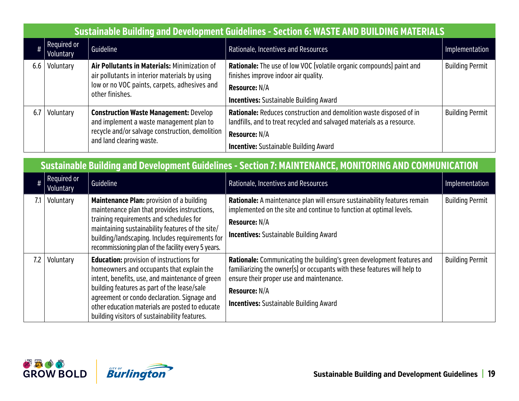|     | <b>Sustainable Building and Development Guidelines - Section 6: WASTE AND BUILDING MATERIALS</b>                                                                              |                                                                                           |                                                                                                                                               |                        |  |  |
|-----|-------------------------------------------------------------------------------------------------------------------------------------------------------------------------------|-------------------------------------------------------------------------------------------|-----------------------------------------------------------------------------------------------------------------------------------------------|------------------------|--|--|
|     | Required or<br>Voluntary                                                                                                                                                      | Guideline                                                                                 | Rationale, Incentives and Resources                                                                                                           | Implementation         |  |  |
| 6.6 | Air Pollutants in Materials: Minimization of<br>Voluntary<br>air pollutants in interior materials by using<br>low or no VOC paints, carpets, adhesives and<br>other finishes. |                                                                                           | <b>Rationale:</b> The use of low VOC (volatile organic compounds) paint and<br>finishes improve indoor air quality.                           | <b>Building Permit</b> |  |  |
|     |                                                                                                                                                                               |                                                                                           | <b>Resource: N/A</b>                                                                                                                          |                        |  |  |
|     |                                                                                                                                                                               | <b>Incentives:</b> Sustainable Building Award                                             |                                                                                                                                               |                        |  |  |
| 6.7 | Voluntary                                                                                                                                                                     | <b>Construction Waste Management: Develop</b><br>and implement a waste management plan to | Rationale: Reduces construction and demolition waste disposed of in<br>landfills, and to treat recycled and salvaged materials as a resource. | <b>Building Permit</b> |  |  |
|     |                                                                                                                                                                               | recycle and/or salvage construction, demolition                                           | <b>Resource: N/A</b>                                                                                                                          |                        |  |  |
|     |                                                                                                                                                                               | and land clearing waste.                                                                  | <b>Incentive:</b> Sustainable Building Award                                                                                                  |                        |  |  |

|     | Sustainable Building and Development Guidelines - Section 7: MAINTENANCE, MONITORING AND COMMUNICATION |                                                                                                                                                                                                                                                                                                           |                                                                                                                                                                                                                          |                        |  |  |
|-----|--------------------------------------------------------------------------------------------------------|-----------------------------------------------------------------------------------------------------------------------------------------------------------------------------------------------------------------------------------------------------------------------------------------------------------|--------------------------------------------------------------------------------------------------------------------------------------------------------------------------------------------------------------------------|------------------------|--|--|
|     | $\#$ Required or<br>Voluntary                                                                          | Guideline                                                                                                                                                                                                                                                                                                 | Rationale, Incentives and Resources                                                                                                                                                                                      | Implementation         |  |  |
|     | Voluntary                                                                                              | <b>Maintenance Plan: provision of a building</b><br>maintenance plan that provides instructions,<br>training requirements and schedules for<br>maintaining sustainability features of the site/<br>building/landscaping. Includes requirements for<br>recommissioning plan of the facility every 5 years. | Rationale: A maintenance plan will ensure sustainability features remain<br>implemented on the site and continue to function at optimal levels.<br><b>Resource: N/A</b><br><b>Incentives:</b> Sustainable Building Award | <b>Building Permit</b> |  |  |
| 7.2 | Voluntary                                                                                              | <b>Education:</b> provision of instructions for<br>homeowners and occupants that explain the                                                                                                                                                                                                              | <b>Rationale:</b> Communicating the building's green development features and<br>familiarizing the owner(s) or occupants with these features will help to                                                                | <b>Building Permit</b> |  |  |





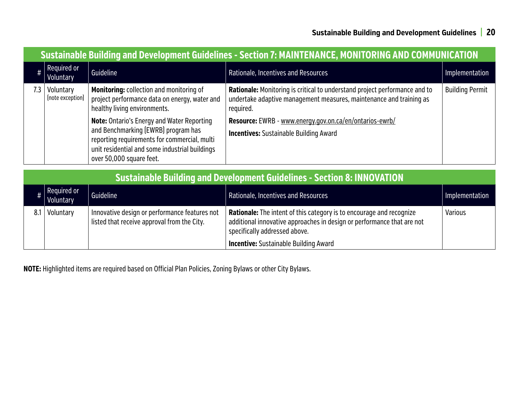|     | <b>Sustainable Building and Development Guidelines - Section 7: MAINTENANCE, MONITORING AND COMMUNICATION</b> |                                                                                                                                                                                            |                                                                                                                                                                |                        |  |  |
|-----|---------------------------------------------------------------------------------------------------------------|--------------------------------------------------------------------------------------------------------------------------------------------------------------------------------------------|----------------------------------------------------------------------------------------------------------------------------------------------------------------|------------------------|--|--|
| #   | Required or<br>Voluntary                                                                                      | Guideline                                                                                                                                                                                  | Rationale, Incentives and Resources                                                                                                                            | Implementation         |  |  |
| 7.3 | Voluntary<br>(note exception)                                                                                 | <b>Monitoring: collection and monitoring of</b><br>project performance data on energy, water and<br>healthy living environments.                                                           | Rationale: Monitoring is critical to understand project performance and to<br>undertake adaptive management measures, maintenance and training as<br>required. | <b>Building Permit</b> |  |  |
|     |                                                                                                               | <b>Note: Ontario's Energy and Water Reporting</b><br>and Benchmarking (EWRB) program has<br>reporting requirements for commercial, multi<br>unit residential and some industrial buildings | Resource: EWRB - www.energy.gov.on.ca/en/ontarios-ewrb/<br><b>Incentives:</b> Sustainable Building Award                                                       |                        |  |  |
|     |                                                                                                               | over 50,000 square feet.                                                                                                                                                                   |                                                                                                                                                                |                        |  |  |

|     | <b>Sustainable Building and Development Guidelines - Section 8: INNOVATION</b> |                                                                                              |                                                                                                                                                                                 |                |  |
|-----|--------------------------------------------------------------------------------|----------------------------------------------------------------------------------------------|---------------------------------------------------------------------------------------------------------------------------------------------------------------------------------|----------------|--|
|     | Required or<br>Voluntary                                                       | Guideline                                                                                    | Rationale, Incentives and Resources                                                                                                                                             | Implementation |  |
| 8.1 | Voluntary                                                                      | Innovative design or performance features not<br>listed that receive approval from the City. | Rationale: The intent of this category is to encourage and recognize<br>additional innovative approaches in design or performance that are not<br>specifically addressed above. | <b>Various</b> |  |
|     |                                                                                |                                                                                              | <b>Incentive:</b> Sustainable Building Award                                                                                                                                    |                |  |

**NOTE:** Highlighted items are required based on Official Plan Policies, Zoning Bylaws or other City Bylaws.